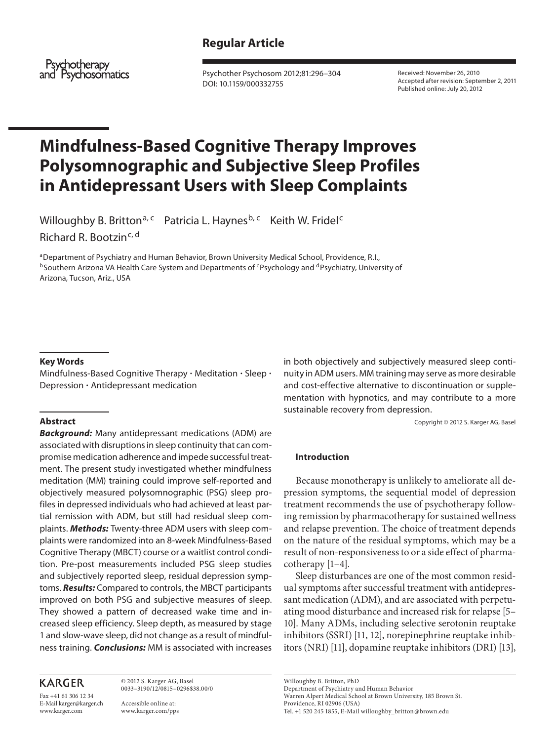# **Regular Article**

Psychotherapy and Psychosomatics

 Psychother Psychosom 2012;81:296–304 DOI: 10.1159/000332755

 Received: November 26, 2010 Accepted after revision: September 2, 2011 Published online: July 20, 2012

# **Mindfulness-Based Cognitive Therapy Improves Polysomnographic and Subjective Sleep Profiles in Antidepressant Users with Sleep Complaints**

Willoughby B. Britton<sup>a, c</sup> Patricia L. Haynes<sup>b, c</sup> Keith W. Fridel<sup>c</sup> Richard R. Bootzin<sup>c, d</sup>

a Department of Psychiatry and Human Behavior, Brown University Medical School, Providence, R.I., <sup>b</sup> Southern Arizona VA Health Care System and Departments of <sup>c</sup>Psychology and <sup>d</sup>Psychiatry, University of Arizona, Tucson, Ariz., USA

#### **Key Words**

Mindfulness-Based Cognitive Therapy · Meditation · Sleep · Depression - Antidepressant medication

#### **Abstract**

*Background:* Many antidepressant medications (ADM) are associated with disruptions in sleep continuity that can compromise medication adherence and impede successful treatment. The present study investigated whether mindfulness meditation (MM) training could improve self-reported and objectively measured polysomnographic (PSG) sleep profiles in depressed individuals who had achieved at least partial remission with ADM, but still had residual sleep complaints. *Methods:* Twenty-three ADM users with sleep complaints were randomized into an 8-week Mindfulness-Based Cognitive Therapy (MBCT) course or a waitlist control condition. Pre-post measurements included PSG sleep studies and subjectively reported sleep, residual depression symptoms. *Results:* Compared to controls, the MBCT participants improved on both PSG and subjective measures of sleep. They showed a pattern of decreased wake time and increased sleep efficiency. Sleep depth, as measured by stage 1 and slow-wave sleep, did not change as a result of mindfulness training. *Conclusions:* MM is associated with increases

# **KARGER**

Fax +41 61 306 12 34 E-Mail karger@karger.ch www.karger.com

 © 2012 S. Karger AG, Basel 0033–3190/12/0815–0296\$38.00/0

 Accessible online at: www.karger.com/pps in both objectively and subjectively measured sleep continuity in ADM users. MM training may serve as more desirable and cost-effective alternative to discontinuation or supplementation with hypnotics, and may contribute to a more sustainable recovery from depression.

Copyright © 2012 S. Karger AG, Basel

## **Introduction**

 Because monotherapy is unlikely to ameliorate all depression symptoms, the sequential model of depression treatment recommends the use of psychotherapy following remission by pharmacotherapy for sustained wellness and relapse prevention. The choice of treatment depends on the nature of the residual symptoms, which may be a result of non-responsiveness to or a side effect of pharmacotherapy  $[1-4]$ .

 Sleep disturbances are one of the most common residual symptoms after successful treatment with antidepressant medication (ADM), and are associated with perpetuating mood disturbance and increased risk for relapse [5– 10]. Many ADMs, including selective serotonin reuptake inhibitors (SSRI) [11, 12], norepinephrine reuptake inhibitors (NRI) [11], dopamine reuptake inhibitors (DRI) [13],

Willoughby B. Britton, PhD

Department of Psychiatry and Human Behavior

Warren Alpert Medical School at Brown University , 185 Brown St. Providence, RI 02906 (USA)

Tel. +1 520 245 1855, E-Mail willoughby\_britton @ brown.edu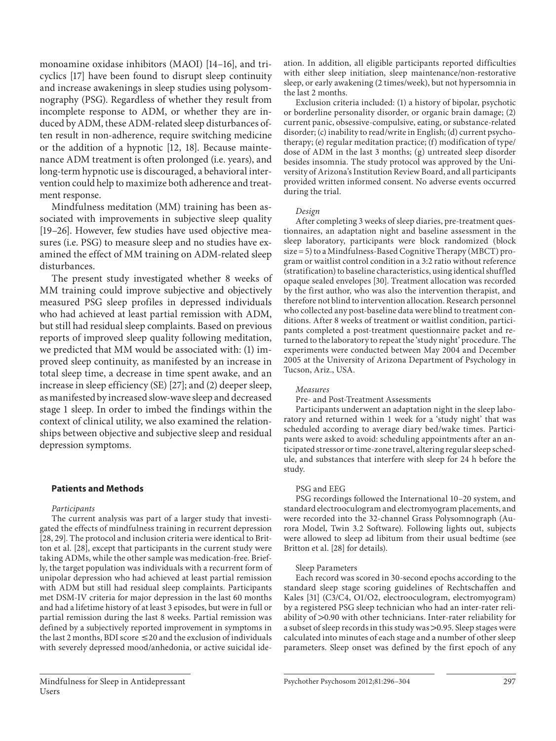monoamine oxidase inhibitors (MAOI) [14–16], and tricyclics [17] have been found to disrupt sleep continuity and increase awakenings in sleep studies using polysomnography (PSG). Regardless of whether they result from incomplete response to ADM, or whether they are induced by ADM, these ADM-related sleep disturbances often result in non-adherence, require switching medicine or the addition of a hypnotic [12, 18]. Because maintenance ADM treatment is often prolonged (i.e. years), and long-term hypnotic use is discouraged, a behavioral intervention could help to maximize both adherence and treatment response.

 Mindfulness meditation (MM) training has been associated with improvements in subjective sleep quality [19–26]. However, few studies have used objective measures (i.e. PSG) to measure sleep and no studies have examined the effect of MM training on ADM-related sleep disturbances.

 The present study investigated whether 8 weeks of MM training could improve subjective and objectively measured PSG sleep profiles in depressed individuals who had achieved at least partial remission with ADM, but still had residual sleep complaints. Based on previous reports of improved sleep quality following meditation, we predicted that MM would be associated with: (1) improved sleep continuity, as manifested by an increase in total sleep time, a decrease in time spent awake, and an increase in sleep efficiency (SE) [27]; and (2) deeper sleep, as manifested by increased slow-wave sleep and decreased stage 1 sleep. In order to imbed the findings within the context of clinical utility, we also examined the relationships between objective and subjective sleep and residual depression symptoms.

### **Patients and Methods**

#### *Participants*

 The current analysis was part of a larger study that investigated the effects of mindfulness training in recurrent depression [28, 29]. The protocol and inclusion criteria were identical to Britton et al. [28], except that participants in the current study were taking ADMs, while the other sample was medication-free. Briefly, the target population was individuals with a recurrent form of unipolar depression who had achieved at least partial remission with ADM but still had residual sleep complaints. Participants met DSM-IV criteria for major depression in the last 60 months and had a lifetime history of at least 3 episodes, but were in full or partial remission during the last 8 weeks. Partial remission was defined by a subjectively reported improvement in symptoms in the last 2 months, BDI score  $\leq$  20 and the exclusion of individuals with severely depressed mood/anhedonia, or active suicidal ideation. In addition, all eligible participants reported difficulties with either sleep initiation, sleep maintenance/non-restorative sleep, or early awakening (2 times/week), but not hypersomnia in the last 2 months.

 Exclusion criteria included: (1) a history of bipolar, psychotic or borderline personality disorder, or organic brain damage; (2) current panic, obsessive-compulsive, eating, or substance-related disorder; (c) inability to read/write in English; (d) current psychotherapy; (e) regular meditation practice; (f) modification of type/ dose of ADM in the last 3 months; (g) untreated sleep disorder besides insomnia. The study protocol was approved by the University of Arizona's Institution Review Board, and all participants provided written informed consent. No adverse events occurred during the trial.

#### *Design*

 After completing 3 weeks of sleep diaries, pre-treatment questionnaires, an adaptation night and baseline assessment in the sleep laboratory, participants were block randomized (block size = 5) to a Mindfulness-Based Cognitive Therapy (MBCT) program or waitlist control condition in a 3:2 ratio without reference (stratification) to baseline characteristics, using identical shuffled opaque sealed envelopes [30]. Treatment allocation was recorded by the first author, who was also the intervention therapist, and therefore not blind to intervention allocation. Research personnel who collected any post-baseline data were blind to treatment conditions. After 8 weeks of treatment or waitlist condition, participants completed a post-treatment questionnaire packet and returned to the laboratory to repeat the 'study night' procedure. The experiments were conducted between May 2004 and December 2005 at the University of Arizona Department of Psychology in Tucson, Ariz., USA.

#### *Measures*

Pre- and Post-Treatment Assessments

 Participants underwent an adaptation night in the sleep laboratory and returned within 1 week for a 'study night' that was scheduled according to average diary bed/wake times. Participants were asked to avoid: scheduling appointments after an anticipated stressor or time-zone travel, altering regular sleep schedule, and substances that interfere with sleep for 24 h before the study.

#### PSG and EEG

 PSG recordings followed the International 10–20 system, and standard electrooculogram and electromyogram placements, and were recorded into the 32-channel Grass Polysomnograph (Aurora Model, Twin 3.2 Software). Following lights out, subjects were allowed to sleep ad libitum from their usual bedtime (see Britton et al.[28] for details).

#### Sleep Parameters

 Each record was scored in 30-second epochs according to the standard sleep stage scoring guidelines of Rechtschaffen and Kales [31] (C3/C4, O1/O2, electrooculogram, electromyogram) by a registered PSG sleep technician who had an inter-rater reliability of >0.90 with other technicians. Inter-rater reliability for a subset of sleep records in this study was >0.95. Sleep stages were calculated into minutes of each stage and a number of other sleep parameters. Sleep onset was defined by the first epoch of any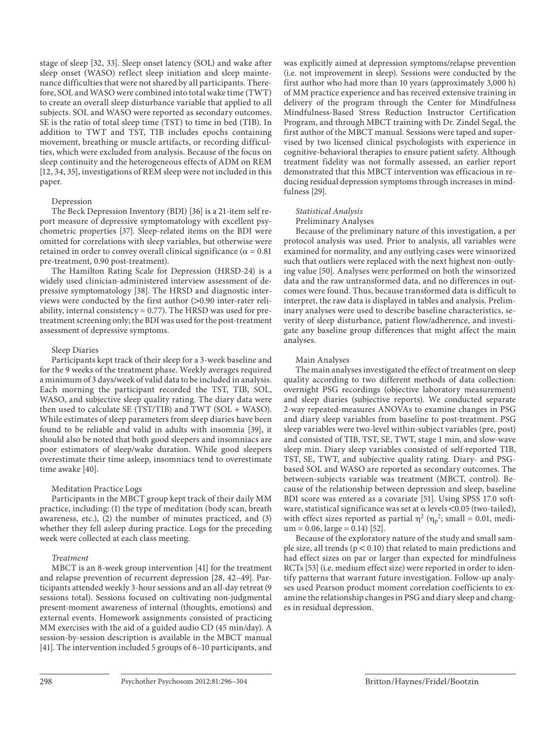stage of sleep [32, 33] . Sleep onset latency (SOL) and wake after sleep onset (WASO) reflect sleep initiation and sleep maintenance difficulties that were not shared by all participants. Therefore, SOL and WASO were combined into total wake time (TWT) to create an overall sleep disturbance variable that applied to all subjects. SOL and WASO were reported as secondary outcomes. SE is the ratio of total sleep time (TST) to time in bed (TIB). In addition to TWT and TST, TIB includes epochs containing movement, breathing or muscle artifacts, or recording difficulties, which were excluded from analysis. Because of the focus on sleep continuity and the heterogeneous effects of ADM on REM [12, 34, 35], investigations of REM sleep were not included in this paper.

#### Depression

 The Beck Depression Inventory (BDI) [36] is a 21-item self report measure of depressive symptomatology with excellent psychometric properties [37] . Sleep-related items on the BDI were omitted for correlations with sleep variables, but otherwise were retained in order to convey overall clinical significance ( $\alpha = 0.81$ ) pre-treatment, 0.90 post-treatment).

 The Hamilton Rating Scale for Depression (HRSD-24) is a widely used clinician-administered interview assessment of depressive symptomatology [38] . The HRSD and diagnostic interviews were conducted by the first author  $(>0.90$  inter-rater reliability, internal consistency = 0.77). The HRSD was used for pretreatment screening only; the BDI was used for the post-treatment assessment of depressive symptoms.

#### Sleep Diaries

 Participants kept track of their sleep for a 3-week baseline and for the 9 weeks of the treatment phase. Weekly averages required a minimum of 3 days/week of valid data to be included in analysis. Each morning the participant recorded the TST, TIB, SOL, WASO, and subjective sleep quality rating. The diary data were then used to calculate SE (TST/TIB) and TWT (SOL + WASO). While estimates of sleep parameters from sleep diaries have been found to be reliable and valid in adults with insomnia [39], it should also be noted that both good sleepers and insomniacs are poor estimators of sleep/wake duration. While good sleepers overestimate their time asleep, insomniacs tend to overestimate time awake [40].

### Meditation Practice Logs

 Participants in the MBCT group kept track of their daily MM practice, including: (1) the type of meditation (body scan, breath awareness, etc.), (2) the number of minutes practiced, and (3) whether they fell asleep during practice. Logs for the preceding week were collected at each class meeting.

### *Treatment*

 MBCT is an 8-week group intervention [41] for the treatment and relapse prevention of recurrent depression [28, 42–49] . Participants attended weekly 3-hour sessions and an all-day retreat (9 sessions total). Sessions focused on cultivating non-judgmental present-moment awareness of internal (thoughts, emotions) and external events. Homework assignments consisted of practicing MM exercises with the aid of a guided audio CD (45 min/day). A session-by-session description is available in the MBCT manual [41]. The intervention included 5 groups of 6-10 participants, and was explicitly aimed at depression symptoms/relapse prevention (i.e. not improvement in sleep). Sessions were conducted by the first author who had more than 10 years (approximately 3,000 h) of MM practice experience and has received extensive training in delivery of the program through the Center for Mindfulness Mindfulness-Based Stress Reduction Instructor Certification Program, and through MBCT training with Dr. Zindel Segal, the first author of the MBCT manual. Sessions were taped and supervised by two licensed clinical psychologists with experience in cognitive-behavioral therapies to ensure patient safety. Although treatment fidelity was not formally assessed, an earlier report demonstrated that this MBCT intervention was efficacious in reducing residual depression symptoms through increases in mindfulness [29].

### *Statistical Analysis*

#### Preliminary Analyses

Because of the preliminary nature of this investigation, a per protocol analysis was used. Prior to analysis, all variables were examined for normality, and any outlying cases were winsorized such that outliers were replaced with the next highest non-outlying value [50]. Analyses were performed on both the winsorized data and the raw untransformed data, and no differences in outcomes were found. Thus, because transformed data is difficult to interpret, the raw data is displayed in tables and analysis. Preliminary analyses were used to describe baseline characteristics, severity of sleep disturbance, patient flow/adherence, and investigate any baseline group differences that might affect the main analyses.

#### Main Analyses

The main analyses investigated the effect of treatment on sleep quality according to two different methods of data collection: overnight PSG recordings (objective laboratory measurement) and sleep diaries (subjective reports). We conducted separate 2-way repeated-measures ANOVAs to examine changes in PSG and diary sleep variables from baseline to post-treatment. PSG sleep variables were two-level within-subject variables (pre, post) and consisted of TIB, TST, SE, TWT, stage 1 min, and slow-wave sleep min. Diary sleep variables consisted of self-reported TIB, TST, SE, TWT, and subjective quality rating. Diary- and PSGbased SOL and WASO are reported as secondary outcomes. The between-subjects variable was treatment (MBCT, control). Because of the relationship between depression and sleep, baseline BDI score was entered as a covariate [51]. Using SPSS 17.0 software, statistical significance was set at  $\alpha$  levels < 0.05 (two-tailed), with effect sizes reported as partial  $\eta^2$  ( $\eta_p^2$ ; small = 0.01, medi $um = 0.06$ ,  $large = 0.14$  [52].

 Because of the exploratory nature of the study and small sample size, all trends  $(p < 0.10)$  that related to main predictions and had effect sizes on par or larger than expected for mindfulness RCTs [53] (i.e. medium effect size) were reported in order to identify patterns that warrant future investigation. Follow-up analyses used Pearson product moment correlation coefficients to examine the relationship changes in PSG and diary sleep and changes in residual depression.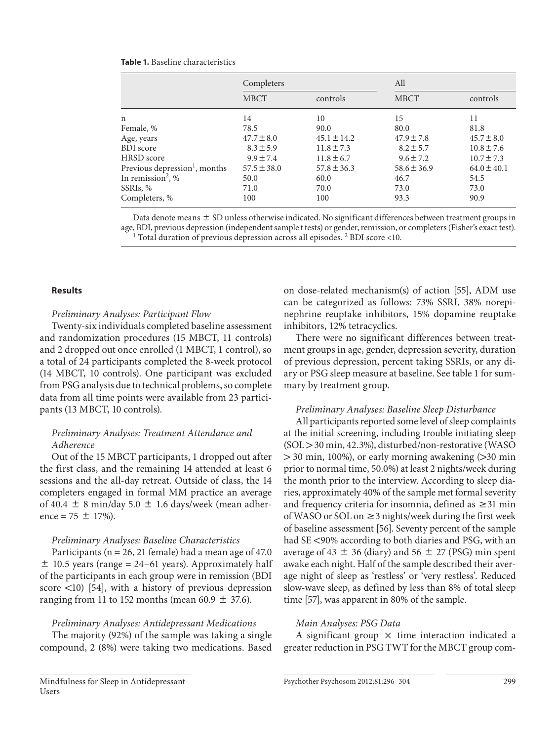## **Table 1.** Baseline characteristics

|                                           | Completers      |                 | All             |                 |  |
|-------------------------------------------|-----------------|-----------------|-----------------|-----------------|--|
|                                           | <b>MBCT</b>     | controls        | <b>MBCT</b>     | controls        |  |
| n                                         | 14              | 10              | 15              | 11              |  |
| Female, %                                 | 78.5            | 90.0            | 80.0            | 81.8            |  |
| Age, years                                | $47.7 \pm 8.0$  | $45.1 \pm 14.2$ | $47.9 \pm 7.8$  | $45.7 \pm 8.0$  |  |
| <b>BDI</b> score                          | $8.3 \pm 5.9$   | $11.8 \pm 7.3$  | $8.2 \pm 5.7$   | $10.8 \pm 7.6$  |  |
| HRSD score                                | $9.9 \pm 7.4$   | $11.8 \pm 6.7$  | $9.6 \pm 7.2$   | $10.7 \pm 7.3$  |  |
| Previous depression <sup>1</sup> , months | $57.5 \pm 38.0$ | $57.8 \pm 36.3$ | $58.6 \pm 36.9$ | $64.0 \pm 40.1$ |  |
| In remission <sup>2</sup> , %             | 50.0            | 60.0            | 46.7            | 54.5            |  |
| SSRIs, %                                  | 71.0            | 70.0            | 73.0            | 73.0            |  |
| Completers, %                             | 100             | 100             | 93.3            | 90.9            |  |

Data denote means  $\pm$  SD unless otherwise indicated. No significant differences between treatment groups in age, BDI, previous depression (independent sample t tests) or gender, remission, or completers (Fisher's exact test). <sup>1</sup> Total duration of previous depression across all episodes. 2 BDI score <10.

## **Results**

## *Preliminary Analyses: Participant Flow*

 Twenty-six individuals completed baseline assessment and randomization procedures (15 MBCT, 11 controls) and 2 dropped out once enrolled (1 MBCT, 1 control), so a total of 24 participants completed the 8-week protocol (14 MBCT, 10 controls). One participant was excluded from PSG analysis due to technical problems, so complete data from all time points were available from 23 participants (13 MBCT, 10 controls).

## *Preliminary Analyses: Treatment Attendance and Adherence*

 Out of the 15 MBCT participants, 1 dropped out after the first class, and the remaining 14 attended at least 6 sessions and the all-day retreat. Outside of class, the 14 completers engaged in formal MM practice an average of 40.4  $\pm$  8 min/day 5.0  $\pm$  1.6 days/week (mean adherence = 75  $\pm$  17%).

## *Preliminary Analyses: Baseline Characteristics*

Participants ( $n = 26$ , 21 female) had a mean age of 47.0  $\pm$  10.5 years (range = 24–61 years). Approximately half of the participants in each group were in remission (BDI score  $\langle 10 \rangle$  [54], with a history of previous depression ranging from 11 to 152 months (mean 60.9  $\pm$  37.6).

## *Preliminary Analyses: Antidepressant Medications*

 The majority (92%) of the sample was taking a single compound, 2 (8%) were taking two medications. Based on dose-related mechanism(s) of action [55] , ADM use can be categorized as follows: 73% SSRI, 38% norepinephrine reuptake inhibitors, 15% dopamine reuptake inhibitors, 12% tetracyclics.

 There were no significant differences between treatment groups in age, gender, depression severity, duration of previous depression, percent taking SSRIs, or any diary or PSG sleep measure at baseline. See table 1 for summary by treatment group.

### *Preliminary Analyses: Baseline Sleep Disturbance*

 All participants reported some level of sleep complaints at the initial screening, including trouble initiating sleep  $(SOL > 30$  min, 42.3%), disturbed/non-restorative (WASO  $> 30$  min, 100%), or early morning awakening  $( > 30$  min prior to normal time, 50.0%) at least 2 nights/week during the month prior to the interview. According to sleep diaries, approximately 40% of the sample met formal severity and frequency criteria for insomnia, defined as  $\geq$  31 min of WASO or SOL on  $\geq$ 3 nights/week during the first week of baseline assessment [56] . Seventy percent of the sample had SE <90% according to both diaries and PSG, with an average of 43  $\pm$  36 (diary) and 56  $\pm$  27 (PSG) min spent awake each night. Half of the sample described their average night of sleep as 'restless' or 'very restless'. Reduced slow-wave sleep, as defined by less than 8% of total sleep time [57], was apparent in 80% of the sample.

## *Main Analyses: PSG Data*

A significant group  $\times$  time interaction indicated a greater reduction in PSG TWT for the MBCT group com-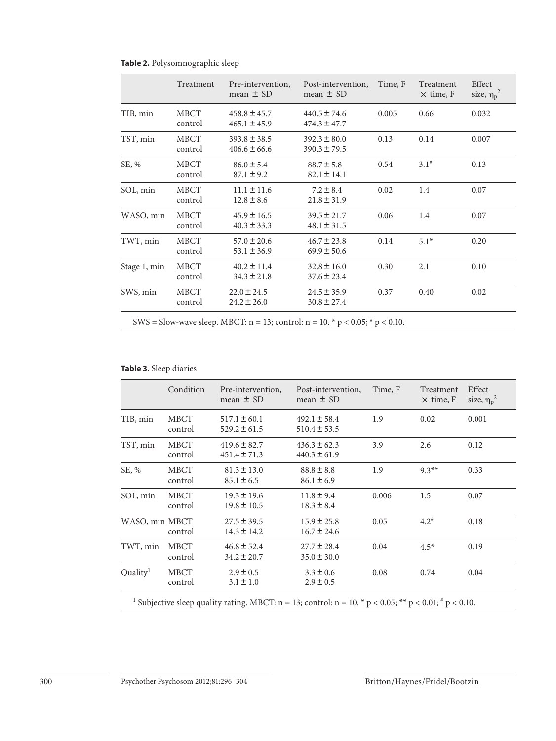|              | Treatment              | Pre-intervention,<br>mean $\pm$ SD   | Post-intervention,<br>mean $\pm$ SD  | Time, F | Treatment<br>$\times$ time, F | Effect<br>size, $\eta_p^2$ |
|--------------|------------------------|--------------------------------------|--------------------------------------|---------|-------------------------------|----------------------------|
| TIB, min     | MBCT<br>control        | $458.8 \pm 45.7$<br>$465.1 \pm 45.9$ | $440.5 \pm 74.6$<br>$474.3 \pm 47.7$ | 0.005   | 0.66                          | 0.032                      |
| TST, min     | <b>MBCT</b><br>control | $393.8 \pm 38.5$<br>$406.6 \pm 66.6$ | $392.3 \pm 80.0$<br>$390.3 \pm 79.5$ | 0.13    | 0.14                          | 0.007                      |
| SE, %        | MBCT<br>control        | $86.0 \pm 5.4$<br>$87.1 \pm 9.2$     | $88.7 \pm 5.8$<br>$82.1 \pm 14.1$    | 0.54    | $3.1^{*}$                     | 0.13                       |
| SOL, min     | <b>MBCT</b><br>control | $11.1 \pm 11.6$<br>$12.8 \pm 8.6$    | $7.2 \pm 8.4$<br>$21.8 \pm 31.9$     | 0.02    | 1.4                           | 0.07                       |
| WASO, min    | <b>MBCT</b><br>control | $45.9 \pm 16.5$<br>$40.3 \pm 33.3$   | $39.5 \pm 21.7$<br>$48.1 \pm 31.5$   | 0.06    | 1.4                           | 0.07                       |
| TWT, min     | <b>MBCT</b><br>control | $57.0 \pm 20.6$<br>$53.1 \pm 36.9$   | $46.7 \pm 23.8$<br>$69.9 \pm 50.6$   | 0.14    | $5.1*$                        | 0.20                       |
| Stage 1, min | <b>MBCT</b><br>control | $40.2 \pm 11.4$<br>$34.3 \pm 21.8$   | $32.8 \pm 16.0$<br>$37.6 \pm 23.4$   | 0.30    | 2.1                           | 0.10                       |
| SWS, min     | <b>MBCT</b><br>control | $22.0 \pm 24.5$<br>$24.2 \pm 26.0$   | $24.5 \pm 35.9$<br>$30.8 \pm 27.4$   | 0.37    | 0.40                          | 0.02                       |

Table 2. Polysomnographic sleep

## **Table 3.** Sleep diaries

|                | Condition              | Pre-intervention,<br>mean $\pm$ SD   | Post-intervention,<br>mean $\pm$ SD  | Time, F | Treatment<br>$\times$ time, F | Effect<br>size, $\eta_p^2$ |
|----------------|------------------------|--------------------------------------|--------------------------------------|---------|-------------------------------|----------------------------|
| TIB, min       | <b>MBCT</b><br>control | $517.1 \pm 60.1$<br>$529.2 \pm 61.5$ | $492.1 \pm 58.4$<br>$510.4 \pm 53.5$ | 1.9     | 0.02                          | 0.001                      |
| TST, min       | <b>MBCT</b><br>control | $419.6 \pm 82.7$<br>$451.4 \pm 71.3$ | $436.3 \pm 62.3$<br>$440.3 \pm 61.9$ | 3.9     | 2.6                           | 0.12                       |
| SE, %          | <b>MBCT</b><br>control | $81.3 \pm 13.0$<br>$85.1 \pm 6.5$    | $88.8 \pm 8.8$<br>$86.1 \pm 6.9$     | 1.9     | $9.3***$                      | 0.33                       |
| SOL, min       | <b>MBCT</b><br>control | $19.3 \pm 19.6$<br>$19.8 \pm 10.5$   | $11.8 \pm 9.4$<br>$18.3 \pm 8.4$     | 0.006   | 1.5                           | 0.07                       |
| WASO, min MBCT | control                | $27.5 \pm 39.5$<br>$14.3 \pm 14.2$   | $15.9 \pm 25.8$<br>$16.7 \pm 24.6$   | 0.05    | $4.2^*$                       | 0.18                       |
| TWT, min       | <b>MBCT</b><br>control | $46.8 \pm 52.4$<br>$34.2 \pm 20.7$   | $27.7 \pm 28.4$<br>$35.0 \pm 30.0$   | 0.04    | $4.5*$                        | 0.19                       |
| Quality        | <b>MBCT</b><br>control | $2.9 \pm 0.5$<br>$3.1 \pm 1.0$       | $3.3 \pm 0.6$<br>$2.9 \pm 0.5$       | 0.08    | 0.74                          | 0.04                       |

<sup>1</sup> Subjective sleep quality rating. MBCT: n = 13; control: n = 10.  $*$  p < 0.05;  $**$  p < 0.01;  $*$  p < 0.10.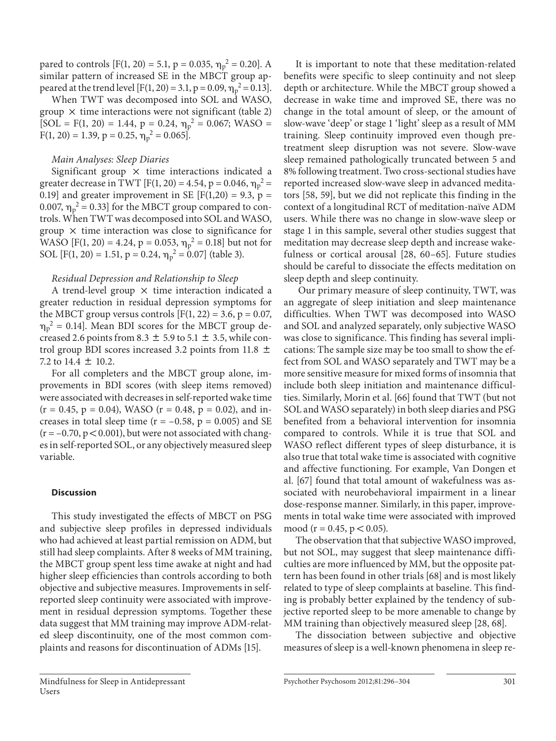pared to controls [F(1, 20) = 5.1, p = 0.035,  $\eta_p^2 = 0.20$ ]. A similar pattern of increased SE in the MBCT group appeared at the trend level [F(1, 20) = 3.1, p = 0.09,  $\eta_p^2$  = 0.13].

 When TWT was decomposed into SOL and WASO, group  $\times$  time interactions were not significant (table 2)  $[SOL = F(1, 20) = 1.44, p = 0.24, \eta_p^2 = 0.067; WASO =$  $F(1, 20) = 1.39, p = 0.25, \eta_p^2 = 0.065$ .

## *Main Analyses: Sleep Diaries*

Significant group  $\times$  time interactions indicated a greater decrease in TWT [F(1, 20) = 4.54, p = 0.046,  $\eta_p^2$  = 0.19] and greater improvement in SE  $[F(1,20) = 9.3, p =$ 0.007,  $\eta_p^2$  = 0.33] for the MBCT group compared to controls. When TWT was decomposed into SOL and WASO, group  $\times$  time interaction was close to significance for WASO [F(1, 20) = 4.24,  $p = 0.053$ ,  $\eta_p^2 = 0.18$ ] but not for SOL [F(1, 20) = 1.51, p = 0.24,  $\eta_p^2 = 0.07$ ] (table 3).

## *Residual Depression and Relationship to Sleep*

A trend-level group  $\times$  time interaction indicated a greater reduction in residual depression symptoms for the MBCT group versus controls  $[F(1, 22) = 3.6, p = 0.07,$  $\eta_p^2$  = 0.14]. Mean BDI scores for the MBCT group decreased 2.6 points from 8.3  $\pm$  5.9 to 5.1  $\pm$  3.5, while control group BDI scores increased 3.2 points from 11.8  $\pm$ 7.2 to  $14.4 \pm 10.2$ .

 For all completers and the MBCT group alone, improvements in BDI scores (with sleep items removed) were associated with decreases in self-reported wake time  $(r = 0.45, p = 0.04)$ , WASO  $(r = 0.48, p = 0.02)$ , and increases in total sleep time ( $r = -0.58$ ,  $p = 0.005$ ) and SE  $(r = -0.70, p < 0.001)$ , but were not associated with changes in self-reported SOL, or any objectively measured sleep variable.

#### **Discussion**

 This study investigated the effects of MBCT on PSG and subjective sleep profiles in depressed individuals who had achieved at least partial remission on ADM, but still had sleep complaints. After 8 weeks of MM training, the MBCT group spent less time awake at night and had higher sleep efficiencies than controls according to both objective and subjective measures. Improvements in selfreported sleep continuity were associated with improvement in residual depression symptoms. Together these data suggest that MM training may improve ADM-related sleep discontinuity, one of the most common complaints and reasons for discontinuation of ADMs [15] .

 It is important to note that these meditation-related benefits were specific to sleep continuity and not sleep depth or architecture. While the MBCT group showed a decrease in wake time and improved SE, there was no change in the total amount of sleep, or the amount of slow-wave 'deep' or stage 1 'light' sleep as a result of MM training. Sleep continuity improved even though pretreatment sleep disruption was not severe. Slow-wave sleep remained pathologically truncated between 5 and 8% following treatment. Two cross-sectional studies have reported increased slow-wave sleep in advanced meditators [58, 59], but we did not replicate this finding in the context of a longitudinal RCT of meditation-naïve ADM users. While there was no change in slow-wave sleep or stage 1 in this sample, several other studies suggest that meditation may decrease sleep depth and increase wakefulness or cortical arousal [28, 60–65]. Future studies should be careful to dissociate the effects meditation on sleep depth and sleep continuity.

 Our primary measure of sleep continuity, TWT, was an aggregate of sleep initiation and sleep maintenance difficulties. When TWT was decomposed into WASO and SOL and analyzed separately, only subjective WASO was close to significance. This finding has several implications: The sample size may be too small to show the effect from SOL and WASO separately and TWT may be a more sensitive measure for mixed forms of insomnia that include both sleep initiation and maintenance difficulties. Similarly, Morin et al. [66] found that TWT (but not SOL and WASO separately) in both sleep diaries and PSG benefited from a behavioral intervention for insomnia compared to controls. While it is true that SOL and WASO reflect different types of sleep disturbance, it is also true that total wake time is associated with cognitive and affective functioning. For example, Van Dongen et al. [67] found that total amount of wakefulness was associated with neurobehavioral impairment in a linear dose-response manner. Similarly, in this paper, improvements in total wake time were associated with improved mood ( $r = 0.45$ ,  $p < 0.05$ ).

 The observation that that subjective WASO improved, but not SOL, may suggest that sleep maintenance difficulties are more influenced by MM, but the opposite pattern has been found in other trials [68] and is most likely related to type of sleep complaints at baseline. This finding is probably better explained by the tendency of subjective reported sleep to be more amenable to change by MM training than objectively measured sleep [28, 68].

 The dissociation between subjective and objective measures of sleep is a well-known phenomena in sleep re-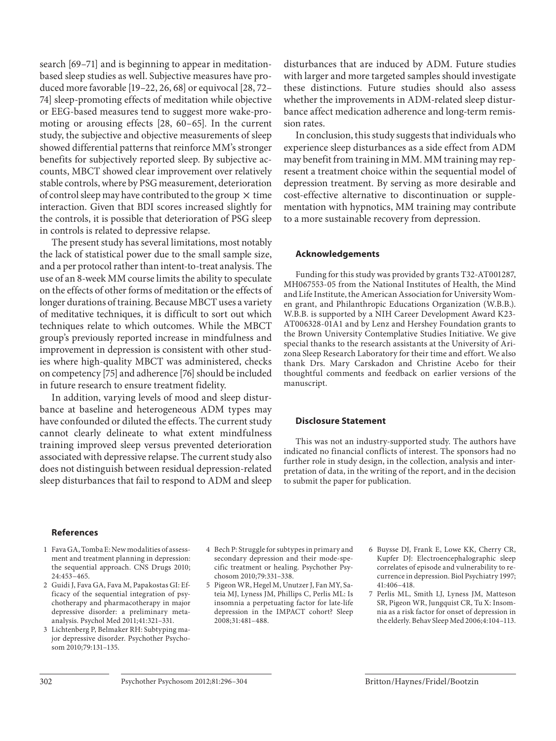search [69–71] and is beginning to appear in meditationbased sleep studies as well. Subjective measures have produced more favorable [19–22, 26, 68] or equivocal [28, 72– 74] sleep-promoting effects of meditation while objective or EEG-based measures tend to suggest more wake-promoting or arousing effects  $[28, 60-65]$ . In the current study, the subjective and objective measurements of sleep showed differential patterns that reinforce MM's stronger benefits for subjectively reported sleep. By subjective accounts, MBCT showed clear improvement over relatively stable controls, where by PSG measurement, deterioration of control sleep may have contributed to the group  $\times$  time interaction. Given that BDI scores increased slightly for the controls, it is possible that deterioration of PSG sleep in controls is related to depressive relapse.

 The present study has several limitations, most notably the lack of statistical power due to the small sample size, and a per protocol rather than intent-to-treat analysis. The use of an 8-week MM course limits the ability to speculate on the effects of other forms of meditation or the effects of longer durations of training. Because MBCT uses a variety of meditative techniques, it is difficult to sort out which techniques relate to which outcomes. While the MBCT group's previously reported increase in mindfulness and improvement in depression is consistent with other studies where high-quality MBCT was administered, checks on competency [75] and adherence [76] should be included in future research to ensure treatment fidelity.

 In addition, varying levels of mood and sleep disturbance at baseline and heterogeneous ADM types may have confounded or diluted the effects. The current study cannot clearly delineate to what extent mindfulness training improved sleep versus prevented deterioration associated with depressive relapse. The current study also does not distinguish between residual depression-related sleep disturbances that fail to respond to ADM and sleep

disturbances that are induced by ADM. Future studies with larger and more targeted samples should investigate these distinctions. Future studies should also assess whether the improvements in ADM-related sleep disturbance affect medication adherence and long-term remission rates.

 In conclusion, this study suggests that individuals who experience sleep disturbances as a side effect from ADM may benefit from training in MM. MM training may represent a treatment choice within the sequential model of depression treatment. By serving as more desirable and cost-effective alternative to discontinuation or supplementation with hypnotics, MM training may contribute to a more sustainable recovery from depression.

## **Acknowledgements**

 Funding for this study was provided by grants T32-AT001287, MH067553-05 from the National Institutes of Health, the Mind and Life Institute, the American Association for University Women grant, and Philanthropic Educations Organization (W.B.B.). W.B.B. is supported by a NIH Career Development Award K23- AT006328-01A1 and by Lenz and Hershey Foundation grants to the Brown University Contemplative Studies Initiative. We give special thanks to the research assistants at the University of Arizona Sleep Research Laboratory for their time and effort. We also thank Drs. Mary Carskadon and Christine Acebo for their thoughtful comments and feedback on earlier versions of the manuscript.

## **Disclosure Statement**

 This was not an industry-supported study. The authors have indicated no financial conflicts of interest. The sponsors had no further role in study design, in the collection, analysis and interpretation of data, in the writing of the report, and in the decision to submit the paper for publication.

### **References**

- 1 Fava GA, Tomba E: New modalities of assessment and treatment planning in depression: the sequential approach. CNS Drugs 2010; 24:453–465.
- 2 Guidi J, Fava GA, Fava M, Papakostas GI: Efficacy of the sequential integration of psychotherapy and pharmacotherapy in major depressive disorder: a preliminary metaanalysis. Psychol Med 2011;41:321–331.
- 3 Lichtenberg P, Belmaker RH: Subtyping major depressive disorder. Psychother Psychosom 2010;79:131–135.
- 4 Bech P: Struggle for subtypes in primary and secondary depression and their mode-specific treatment or healing. Psychother Psychosom 2010;79:331–338.
- 5 Pigeon WR, Hegel M, Unutzer J, Fan MY, Sateia MJ, Lyness JM, Phillips C, Perlis ML: Is insomnia a perpetuating factor for late-life depression in the IMPACT cohort? Sleep 2008;31:481–488.
- 6 Buysse DJ, Frank E, Lowe KK, Cherry CR, Kupfer DJ: Electroencephalographic sleep correlates of episode and vulnerability to recurrence in depression. Biol Psychiatry 1997; 41:406–418.
- 7 Perlis ML, Smith LJ, Lyness JM, Matteson SR, Pigeon WR, Jungquist CR, Tu X: Insomnia as a risk factor for onset of depression in the elderly. Behav Sleep Med 2006;4:104–113.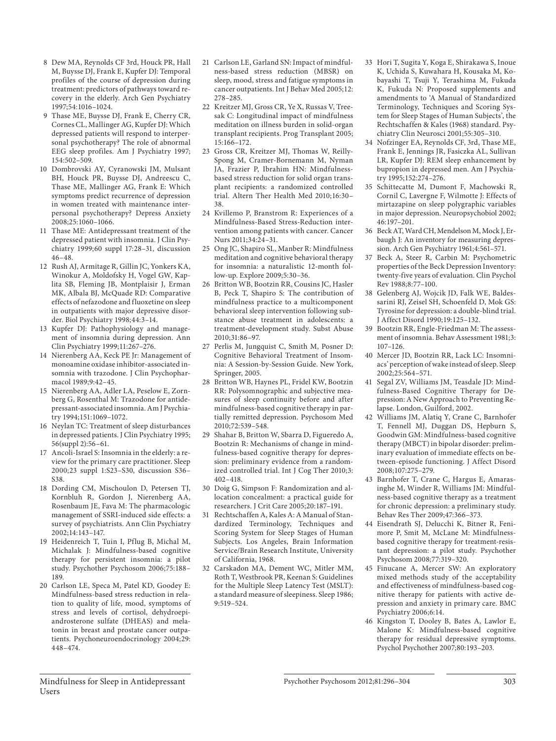- 8 Dew MA, Reynolds CF 3rd, Houck PR, Hall M, Buysse DJ, Frank E, Kupfer DJ: Temporal profiles of the course of depression during treatment: predictors of pathways toward recovery in the elderly. Arch Gen Psychiatry 1997;54:1016–1024.
- 9 Thase ME, Buysse DJ, Frank E, Cherry CR, Cornes CL, Mallinger AG, Kupfer DJ: Which depressed patients will respond to interpersonal psychotherapy? The role of abnormal EEG sleep profiles. Am J Psychiatry 1997; 154:502–509.
- 10 Dombrovski AY, Cyranowski JM, Mulsant BH, Houck PR, Buysse DJ, Andreescu C, Thase ME, Mallinger AG, Frank E: Which symptoms predict recurrence of depression in women treated with maintenance interpersonal psychotherapy? Depress Anxiety 2008;25:1060–1066.
- 11 Thase ME: Antidepressant treatment of the depressed patient with insomnia. J Clin Psychiatry 1999;60 suppl 17:28–31, discussion 46–48.
- 12 Rush AJ, Armitage R, Gillin JC, Yonkers KA, Winokur A, Moldofsky H, Vogel GW, Kaplita SB, Fleming JB, Montplaisir J, Erman MK, Albala BJ, McQuade RD: Comparative effects of nefazodone and fluoxetine on sleep in outpatients with major depressive disorder. Biol Psychiatry 1998;44:3–14.
- 13 Kupfer DJ: Pathophysiology and management of insomnia during depression. Ann Clin Psychiatry 1999;11:267–276.
- 14 Nierenberg AA, Keck PE Jr: Management of monoamine oxidase inhibitor-associated insomnia with trazodone. J Clin Psychopharmacol 1989;9:42–45.
- 15 Nierenberg AA, Adler LA, Peselow E, Zornberg G, Rosenthal M: Trazodone for antidepressant-associated insomnia. Am J Psychiatry 1994;151:1069–1072.
- 16 Neylan TC: Treatment of sleep disturbances in depressed patients. J Clin Psychiatry 1995; 56(suppl 2):56–61.
- 17 Ancoli-Israel S: Insomnia in the elderly: a review for the primary care practitioner. Sleep 2000;23 suppl 1:S23–S30, discussion S36– S38.
- 18 Dording CM, Mischoulon D, Petersen TJ, Kornbluh R, Gordon J, Nierenberg AA, Rosenbaum JE, Fava M: The pharmacologic management of SSRI-induced side effects: a survey of psychiatrists. Ann Clin Psychiatry 2002;14:143–147.
- 19 Heidenreich T, Tuin I, Pflug B, Michal M, Michalak J: Mindfulness-based cognitive therapy for persistent insomnia: a pilot study. Psychother Psychosom 2006;75:188– 189.
- 20 Carlson LE, Speca M, Patel KD, Goodey E: Mindfulness-based stress reduction in relation to quality of life, mood, symptoms of stress and levels of cortisol, dehydroepiandrosterone sulfate (DHEAS) and melatonin in breast and prostate cancer outpatients. Psychoneuroendocrinology 2004;29: 448–474.
- 21 Carlson LE, Garland SN: Impact of mindfulness-based stress reduction (MBSR) on sleep, mood, stress and fatigue symptoms in cancer outpatients. Int J Behav Med 2005;12: 278–285.
- 22 Kreitzer MJ, Gross CR, Ye X, Russas V, Treesak C: Longitudinal impact of mindfulness meditation on illness burden in solid-organ transplant recipients. Prog Transplant 2005; 15:166–172.
- 23 Gross CR, Kreitzer MJ, Thomas W, Reilly-Spong M, Cramer-Bornemann M, Nyman JA, Frazier P, Ibrahim HN: Mindfulnessbased stress reduction for solid organ transplant recipients: a randomized controlled trial. Altern Ther Health Med 2010;16:30– 38.
- 24 Kvillemo P, Branstrom R: Experiences of a Mindfulness-Based Stress-Reduction intervention among patients with cancer. Cancer Nurs 2011;34:24–31.
- 25 Ong JC, Shapiro SL, Manber R: Mindfulness meditation and cognitive behavioral therapy for insomnia: a naturalistic 12-month follow-up. Explore 2009;5:30–36.
- 26 Britton WB, Bootzin RR, Cousins JC, Hasler B, Peck T, Shapiro S: The contribution of mindfulness practice to a multicomponent behavioral sleep intervention following substance abuse treatment in adolescents: a treatment-development study. Subst Abuse 2010;31:86–97.
- 27 Perlis M, Jungquist C, Smith M, Posner D: Cognitive Behavioral Treatment of Insomnia: A Session-by-Session Guide. New York, Springer, 2005.
- 28 Britton WB, Haynes PL, Fridel KW, Bootzin RR: Polysomnographic and subjective measures of sleep continuity before and after mindfulness-based cognitive therapy in partially remitted depression. Psychosom Med 2010;72:539–548.
- 29 Shahar B, Britton W, Sbarra D, Figueredo A, Bootzin R: Mechanisms of change in mindfulness-based cognitive therapy for depression: preliminary evidence from a randomized controlled trial. Int J Cog Ther 2010;3: 402–418.
- 30 Doig G, Simpson F: Randomization and allocation concealment: a practical guide for researchers. J Crit Care 2005;20:187–191.
- 31 Rechtschaffen A, Kales A: A Manual of Standardized Terminology, Techniques and Scoring System for Sleep Stages of Human Subjects. Los Angeles, Brain Information Service/Brain Research Institute, University of California, 1968.
- 32 Carskadon MA, Dement WC, Mitler MM, Roth T, Westbrook PR, Keenan S: Guidelines for the Multiple Sleep Latency Test (MSLT): a standard measure of sleepiness. Sleep 1986; 9:519–524.
- 33 Hori T, Sugita Y, Koga E, Shirakawa S, Inoue K, Uchida S, Kuwahara H, Kousaka M, Kobayashi T, Tsuji Y, Terashima M, Fukuda K, Fukuda N: Proposed supplements and amendments to 'A Manual of Standardized Terminology, Techniques and Scoring System for Sleep Stages of Human Subjects', the Rechtschaffen & Kales (1968) standard. Psychiatry Clin Neurosci 2001;55:305–310.
- 34 Nofzinger EA, Reynolds CF, 3rd, Thase ME, Frank E, Jennings JR, Fasiczka AL, Sullivan LR, Kupfer DJ: REM sleep enhancement by bupropion in depressed men. Am J Psychiatry 1995;152:274–276.
- 35 Schittecatte M, Dumont F, Machowski R, Cornil C, Lavergne F, Wilmotte J: Effects of mirtazapine on sleep polygraphic variables in major depression. Neuropsychobiol 2002; 46:197–201.
- 36 Beck AT, Ward CH, Mendelson M, Mock J, Erbaugh J: An inventory for measuring depression. Arch Gen Psychiatry 1961;4:561–571.
- 37 Beck A, Steer R, Carbin M: Psychometric properties of the Beck Depression Inventory: twenty-five years of evaluation. Clin Psychol Rev 1988;8:77–100.
- 38 Gelenberg AJ, Wojcik JD, Falk WE, Baldessarini RJ, Zeisel SH, Schoenfeld D, Mok GS: Tyrosine for depression: a double-blind trial. J Affect Disord 1990;19:125–132.
- 39 Bootzin RR, Engle-Friedman M: The assessment of insomnia. Behav Assessment 1981;3: 107–126.
- 40 Mercer JD, Bootzin RR, Lack LC: Insomniacs' perception of wake instead of sleep. Sleep 2002;25:564–571.
- 41 Segal ZV, Williams JM, Teasdale JD: Mindfulness-Based Cognitive Therapy for Depression: A New Approach to Preventing Relapse. London, Guilford, 2002.
- 42 Williams JM, Alatiq Y, Crane C, Barnhofer T, Fennell MJ, Duggan DS, Hepburn S, Goodwin GM: Mindfulness-based cognitive therapy (MBCT) in bipolar disorder: preliminary evaluation of immediate effects on between-episode functioning. J Affect Disord 2008;107:275–279.
- 43 Barnhofer T, Crane C, Hargus E, Amarasinghe M, Winder R, Williams JM: Mindfulness-based cognitive therapy as a treatment for chronic depression: a preliminary study. Behav Res Ther 2009;47:366–373.
- 44 Eisendrath SJ, Delucchi K, Bitner R, Fenimore P, Smit M, McLane M: Mindfulnessbased cognitive therapy for treatment-resistant depression: a pilot study. Psychother Psychosom 2008;77:319–320.
- 45 Finucane A, Mercer SW: An exploratory mixed methods study of the acceptability and effectiveness of mindfulness-based cognitive therapy for patients with active depression and anxiety in primary care. BMC Psychiatry 2006;6:14.
- 46 Kingston T, Dooley B, Bates A, Lawlor E, Malone K: Mindfulness-based cognitive therapy for residual depressive symptoms. Psychol Psychother 2007;80:193–203.